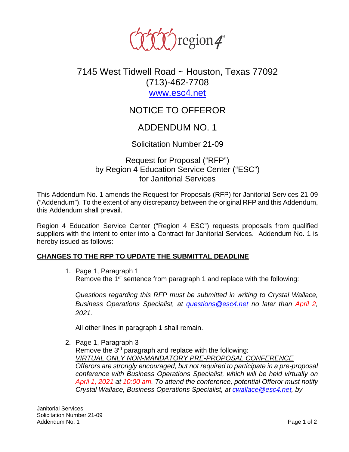

## 7145 West Tidwell Road ~ Houston, Texas 77092 (713)-462-7708 [www.esc4.net](http://www.esc4.net/)

# NOTICE TO OFFEROR

### ADDENDUM NO. 1

Solicitation Number 21-09

Request for Proposal ("RFP") by Region 4 Education Service Center ("ESC") for Janitorial Services

This Addendum No. 1 amends the Request for Proposals (RFP) for Janitorial Services 21-09 ("Addendum"). To the extent of any discrepancy between the original RFP and this Addendum, this Addendum shall prevail.

Region 4 Education Service Center ("Region 4 ESC") requests proposals from qualified suppliers with the intent to enter into a Contract for Janitorial Services. Addendum No. 1 is hereby issued as follows:

#### **CHANGES TO THE RFP TO UPDATE THE SUBMITTAL DEADLINE**

1. Page 1, Paragraph 1 Remove the 1<sup>st</sup> sentence from paragraph 1 and replace with the following:

*Questions regarding this RFP must be submitted in writing to Crystal Wallace, Business Operations Specialist, at [questions@esc4.net](mailto:questions@esc4.net) no later than April 2, 2021.* 

All other lines in paragraph 1 shall remain.

2. Page 1, Paragraph 3

Remove the 3<sup>rd</sup> paragraph and replace with the following: *VIRTUAL ONLY NON-MANDATORY PRE-PROPOSAL CONFERENCE Offerors are strongly encouraged, but not required to participate in a pre-proposal conference with Business Operations Specialist, which will be held virtually on April 1, 2021 at 10:00 am. To attend the conference, potential Offeror must notify Crystal Wallace, Business Operations Specialist, at [cwallace@esc4.net,](mailto:cwallace@esc4.net) by*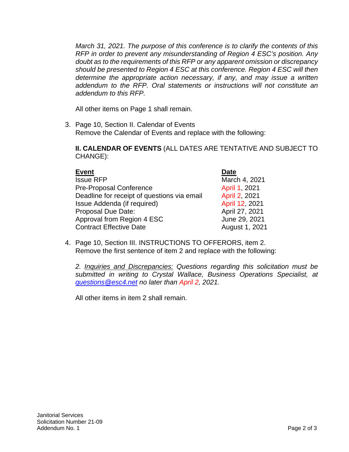*March 31, 2021. The purpose of this conference is to clarify the contents of this RFP in order to prevent any misunderstanding of Region 4 ESC's position. Any doubt as to the requirements of this RFP or any apparent omission or discrepancy should be presented to Region 4 ESC at this conference. Region 4 ESC will then determine the appropriate action necessary, if any, and may issue a written addendum to the RFP. Oral statements or instructions will not constitute an addendum to this RFP.* 

All other items on Page 1 shall remain.

3. Page 10, Section II. Calendar of Events Remove the Calendar of Events and replace with the following:

**II. CALENDAR OF EVENTS** (ALL DATES ARE TENTATIVE AND SUBJECT TO CHANGE):

| <b>Event</b>                                | <b>Date</b>    |
|---------------------------------------------|----------------|
| <b>Issue RFP</b>                            | March 4, 2021  |
| <b>Pre-Proposal Conference</b>              | April 1, 2021  |
| Deadline for receipt of questions via email | April 2, 2021  |
| Issue Addenda (if required)                 | April 12, 2021 |
| Proposal Due Date:                          | April 27, 2021 |
| Approval from Region 4 ESC                  | June 29, 2021  |
| <b>Contract Effective Date</b>              | August 1, 2021 |

4. Page 10, Section III. INSTRUCTIONS TO OFFERORS, item 2. Remove the first sentence of item 2 and replace with the following:

*2. Inquiries and Discrepancies: Questions regarding this solicitation must be submitted in writing to Crystal Wallace, Business Operations Specialist, at [questions@esc4.net](mailto:questions@esc4.net) no later than April 2, 2021.* 

All other items in item 2 shall remain.